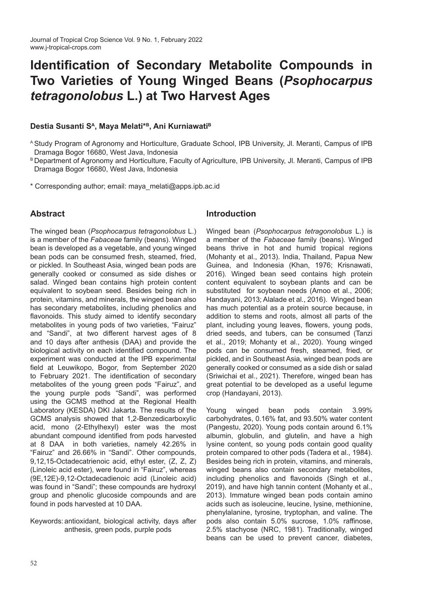# **Identification of Secondary Metabolite Compounds in Two Varieties of Young Winged Beans (***Psophocarpus tetragonolobus* **L.) at Two Harvest Ages**

## **Destia Susanti S<sup>A</sup>, Maya Melati\*<sup>B</sup>, Ani Kurniawati<sup>B</sup>**

- <sup>B</sup> Department of Agronomy and Horticulture, Faculty of Agriculture, IPB University, Jl. Meranti, Campus of IPB Dramaga Bogor 16680, West Java, Indonesia
- \* Corresponding author; email: maya\_melati@apps.ipb.ac.id

# **Abstract**

The winged bean (*Psophocarpus tetragonolobus* L.) is a member of the *Fabaceae* family (beans). Winged bean is developed as a vegetable, and young winged bean pods can be consumed fresh, steamed, fried, or pickled. In Southeast Asia, winged bean pods are generally cooked or consumed as side dishes or salad. Winged bean contains high protein content equivalent to soybean seed. Besides being rich in protein, vitamins, and minerals, the winged bean also has secondary metabolites, including phenolics and flavonoids. This study aimed to identify secondary metabolites in young pods of two varieties, "Fairuz" and "Sandi", at two different harvest ages of 8 and 10 days after anthesis (DAA) and provide the biological activity on each identified compound. The experiment was conducted at the IPB experimental field at Leuwikopo, Bogor, from September 2020 to February 2021. The identification of secondary metabolites of the young green pods "Fairuz", and the young purple pods "Sandi", was performed using the GCMS method at the Regional Health Laboratory (KESDA) DKI Jakarta. The results of the GCMS analysis showed that 1,2-Benzedicarboxylic acid, mono (2-Ethylhexyl) ester was the most abundant compound identified from pods harvested at 8 DAA in both varieties, namely 42.26% in "Fairuz" and 26.66% in "Sandi". Other compounds, 9,12,15-Octadecatrienoic acid, ethyl ester, (Z, Z, Z) (Linoleic acid ester), were found in "Fairuz", whereas (9E,12E)-9,12-Octadecadienoic acid (Linoleic acid) was found in "Sandi"; these compounds are hydroxyl group and phenolic glucoside compounds and are found in pods harvested at 10 DAA.

Keywords: antioxidant, biological activity, days after anthesis, green pods, purple pods

## **Introduction**

Winged bean (*Psophocarpus tetragonolobus* L.) is a member of the *Fabaceae* family (beans). Winged beans thrive in hot and humid tropical regions (Mohanty et al., 2013). India, Thailand, Papua New Guinea, and Indonesia (Khan, 1976; Krisnawati, 2016). Winged bean seed contains high protein content equivalent to soybean plants and can be substituted for soybean needs (Amoo et al., 2006; Handayani, 2013; Alalade et al., 2016). Winged bean has much potential as a protein source because, in addition to stems and roots, almost all parts of the plant, including young leaves, flowers, young pods, dried seeds, and tubers, can be consumed (Tanzi et al., 2019; Mohanty et al., 2020). Young winged pods can be consumed fresh, steamed, fried, or pickled, and in Southeast Asia, winged bean pods are generally cooked or consumed as a side dish or salad (Sriwichai et al., 2021). Therefore, winged bean has great potential to be developed as a useful legume crop (Handayani, 2013).

Young winged bean pods contain 3.99% carbohydrates, 0.16% fat, and 93.50% water content (Pangestu, 2020). Young pods contain around 6.1% albumin, globulin, and glutelin, and have a high lysine content, so young pods contain good quality protein compared to other pods (Tadera et al., 1984). Besides being rich in protein, vitamins, and minerals, winged beans also contain secondary metabolites, including phenolics and flavonoids (Singh et al., 2019), and have high tannin content (Mohanty et al., 2013). Immature winged bean pods contain amino acids such as isoleucine, leucine, lysine, methionine, phenylalanine, tyrosine, tryptophan, and valine. The pods also contain 5.0% sucrose, 1.0% raffinose, 2.5% stachyose (NRC, 1981). Traditionally, winged beans can be used to prevent cancer, diabetes,

<sup>A</sup> Study Program of Agronomy and Horticulture, Graduate School, IPB University, Jl. Meranti, Campus of IPB Dramaga Bogor 16680, West Java, Indonesia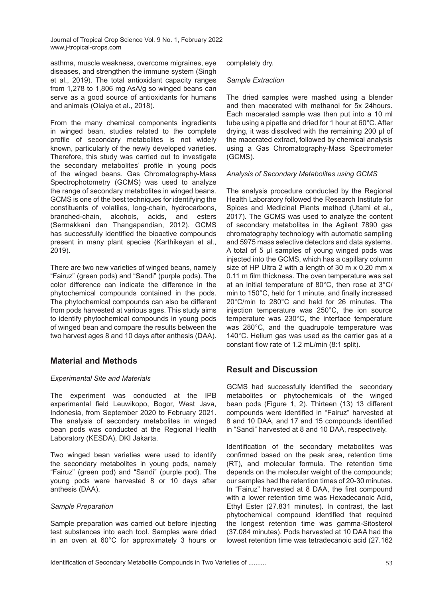asthma, muscle weakness, overcome migraines, eye diseases, and strengthen the immune system (Singh et al., 2019). The total antioxidant capacity ranges from 1,278 to 1,806 mg AsA/g so winged beans can serve as a good source of antioxidants for humans and animals (Olaiya et al., 2018).

From the many chemical components ingredients in winged bean, studies related to the complete profile of secondary metabolites is not widely known, particularly of the newly developed varieties. Therefore, this study was carried out to investigate the secondary metabolites' profile in young pods of the winged beans. Gas Chromatography-Mass Spectrophotometry (GCMS) was used to analyze the range of secondary metabolites in winged beans. GCMS is one of the best techniques for identifying the constituents of volatiles, long-chain, hydrocarbons, branched-chain, alcohols, acids, and esters (Sermakkani dan Thangapandian, 2012). GCMS has successfully identified the bioactive compounds present in many plant species (Karthikeyan et al., 2019).

There are two new varieties of winged beans, namely "Fairuz" (green pods) and "Sandi" (purple pods). The color difference can indicate the difference in the phytochemical compounds contained in the pods. The phytochemical compounds can also be different from pods harvested at various ages. This study aims to identify phytochemical compounds in young pods of winged bean and compare the results between the two harvest ages 8 and 10 days after anthesis (DAA).

# **Material and Methods**

## *Experimental Site and Materials*

The experiment was conducted at the IPB experimental field Leuwikopo, Bogor, West Java, Indonesia, from September 2020 to February 2021. The analysis of secondary metabolites in winged bean pods was conducted at the Regional Health Laboratory (KESDA), DKI Jakarta.

Two winged bean varieties were used to identify the secondary metabolites in young pods, namely "Fairuz" (green pod) and "Sandi" (purple pod). The young pods were harvested 8 or 10 days after anthesis (DAA).

#### *Sample Preparation*

Sample preparation was carried out before injecting test substances into each tool. Samples were dried in an oven at 60°C for approximately 3 hours or

#### completely dry.

#### *Sample Extraction*

The dried samples were mashed using a blender and then macerated with methanol for 5x 24hours. Each macerated sample was then put into a 10 ml tube using a pipette and dried for 1 hour at 60°C. After drying, it was dissolved with the remaining 200 μl of the macerated extract, followed by chemical analysis using a Gas Chromatography-Mass Spectrometer (GCMS).

#### *Analysis of Secondary Metabolites using GCMS*

The analysis procedure conducted by the Regional Health Laboratory followed the Research Institute for Spices and Medicinal Plants method (Utami et al., 2017). The GCMS was used to analyze the content of secondary metabolites in the Agilent 7890 gas chromatography technology with automatic sampling and 5975 mass selective detectors and data systems. A total of 5 μl samples of young winged pods was injected into the GCMS, which has a capillary column size of HP Ultra 2 with a length of 30 m x 0.20 mm x 0.11 m film thickness. The oven temperature was set at an initial temperature of 80°C, then rose at 3°C/ min to 150°C, held for 1 minute, and finally increased 20°C/min to 280°C and held for 26 minutes. The injection temperature was 250°C, the ion source temperature was 230°C, the interface temperature was 280°C, and the quadrupole temperature was 140°C. Helium gas was used as the carrier gas at a constant flow rate of 1.2 mL/min (8:1 split).

# **Result and Discussion**

GCMS had successfully identified the secondary metabolites or phytochemicals of the winged bean pods (Figure 1, 2). Thirteen (13) 13 different compounds were identified in "Fairuz" harvested at 8 and 10 DAA, and 17 and 15 compounds identified in "Sandi" harvested at 8 and 10 DAA, respectively.

Identification of the secondary metabolites was confirmed based on the peak area, retention time (RT), and molecular formula. The retention time depends on the molecular weight of the compounds; our samples had the retention times of 20-30 minutes. In "Fairuz" harvested at 8 DAA, the first compound with a lower retention time was Hexadecanoic Acid, Ethyl Ester (27.831 minutes). In contrast, the last phytochemical compound identified that required the longest retention time was gamma-Sitosterol (37.084 minutes). Pods harvested at 10 DAA had the lowest retention time was tetradecanoic acid (27.162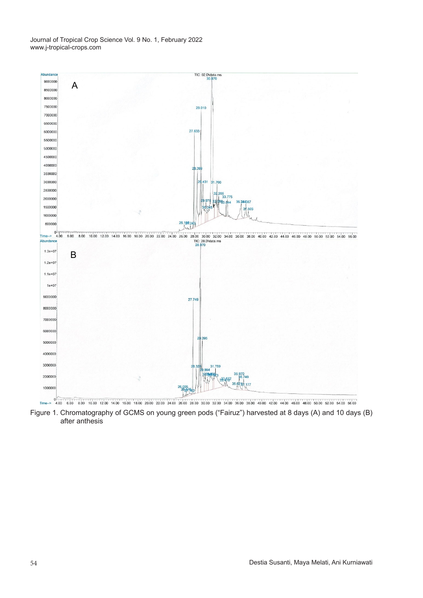

Figure 1. Chromatography of GCMS on young green pods ("Fairuz") harvested at Figure 1. Chromatography of GCMS on young green pods ("Fairuz") harvested at 8 days (A) and 10 days (B) 8 days (A) and 10 days (B) and 10 days (B) after an operator and 10 days (B) after an operator and 10 days (B) after an operator  $\sim$ after anthesis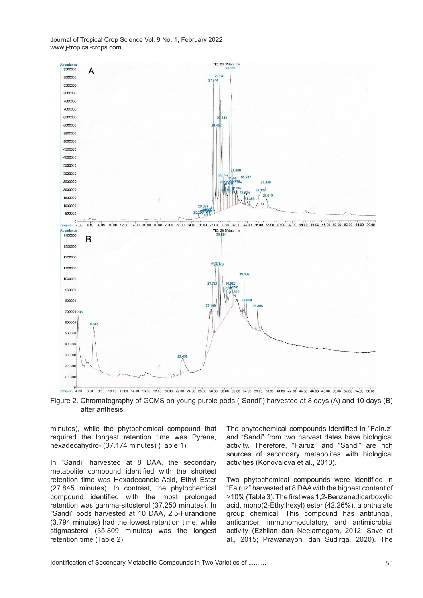

Figure 2. Chromatography of GCMS on young purple pods ("Sandi") has 8 days ("Sandi") harvested at 8 days ("Sandi") harvested at 8 days ("Sandi") harvested at 8 days ("Sandi") harvested at 8 days ("Sandi") harvested at 8 da Figure 2. Chromatography of GCMS on young purple pods ("Sandi") harvested at 8 days (A) and 10 days (B) after anthesis.

minutes), while the phytochemical compound that The phytoch required the longest retention time was Pyrene, hexadecahydro- (37.174 minutes) (Table 1).

In "Sandi" harvested at 8 DAA, the secondary metabolite compound identified with the shortest retention time was Hexadecanoic Acid, Ethyl Ester (27.845 minutes). In contrast, the phytochemical compound identified with the most prolonged retention was gamma-sitosterol (37.250 minutes). In "Sandi" pods harvested at 10 DAA, 2,5-Furandione (3.794 minutes) had the lowest retention time, while stigmasterol (35.809 minutes) was the longest retention time (Table 2).

The phytochemical compounds identified in "Fairuz" and "Sandi" from two harvest dates have biological activity. Therefore, "Fairuz" and "Sandi" are rich sources of secondary metabolites with biological activities (Konovalova et al., 2013).

Two phytochemical compounds were identified in "Fairuz" harvested at 8 DAA with the highest content of >10% (Table 3). The first was 1,2-Benzenedicarboxylic acid, mono(2-Ethylhexyl) ester (42.26%), a phthalate group chemical. This compound has antifungal, anticancer, immunomodulatory, and antimicrobial activity (Ezhilan dan Neelamegam, 2012; Save et al., 2015; Prawanayoni dan Sudirga, 2020). The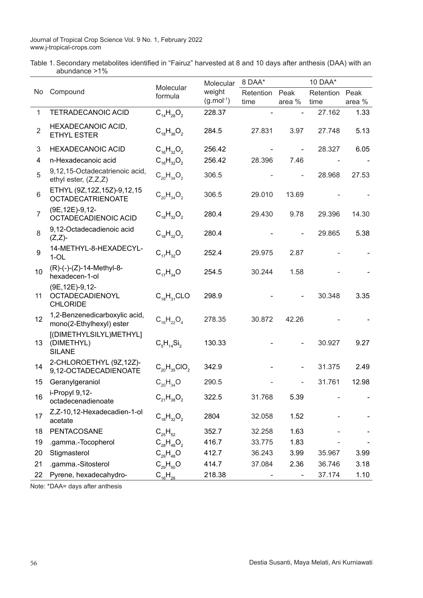Table 1. Secondary metabolites identified in "Fairuz" harvested at 8 and 10 days after anthesis (DAA) with an abundance >1%  $\overline{a}$ 

|                  |                                                            |                      | Molecular      | 8 DAA*    |                          | 10 DAA*   |        |
|------------------|------------------------------------------------------------|----------------------|----------------|-----------|--------------------------|-----------|--------|
| No.              | Compound                                                   | Molecular<br>formula | weight         | Retention | Peak                     | Retention | Peak   |
|                  |                                                            |                      | $(g.mol^{-1})$ | time      | area %                   | time      | area % |
| $\mathbf{1}$     | <b>TETRADECANOIC ACID</b>                                  | $C_{14}H_{28}O_2$    | 228.37         |           |                          | 27.162    | 1.33   |
| $\overline{2}$   | HEXADECANOIC ACID,<br><b>ETHYL ESTER</b>                   | $C_{18}H_{36}O_2$    | 284.5          | 27.831    | 3.97                     | 27.748    | 5.13   |
| 3                | <b>HEXADECANOIC ACID</b>                                   | $C_{16}H_{32}O_2$    | 256.42         |           | $\overline{\phantom{a}}$ | 28.327    | 6.05   |
| 4                | n-Hexadecanoic acid                                        | $C_{16}H_{32}O_2$    | 256.42         | 28.396    | 7.46                     |           |        |
| 5                | 9,12,15-Octadecatrienoic acid,<br>ethyl ester, (Z,Z,Z)     | $C_{20}H_{34}O_2$    | 306.5          |           | ÷,                       | 28.968    | 27.53  |
| 6                | ETHYL (9Z, 12Z, 15Z)-9, 12, 15<br><b>OCTADECATRIENOATE</b> | $C_{20}H_{34}O_2$    | 306.5          | 29.010    | 13.69                    |           |        |
| $\overline{7}$   | (9E, 12E)-9, 12-<br>OCTADECADIENOIC ACID                   | $C_{18}H_{32}O_2$    | 280.4          | 29.430    | 9.78                     | 29.396    | 14.30  |
| 8                | 9,12-Octadecadienoic acid<br>$(Z,Z)$ -                     | $C_{18}H_{32}O_2$    | 280.4          |           |                          | 29.865    | 5.38   |
| $\boldsymbol{9}$ | 14-METHYL-8-HEXADECYL-<br>$1-OL$                           | $C_{17}H_{32}O$      | 252.4          | 29.975    | 2.87                     |           |        |
| 10               | (R)-(-)-(Z)-14-Methyl-8-<br>hexadecen-1-ol                 | $C_{17}H_{34}O$      | 254.5          | 30.244    | 1.58                     |           |        |
| 11               | (9E, 12E)-9, 12-<br>OCTADECADIENOYL<br><b>CHLORIDE</b>     | $C_{18}H_{31}CLO$    | 298.9          |           |                          | 30.348    | 3.35   |
| 12               | 1,2-Benzenedicarboxylic acid,<br>mono(2-Ethylhexyl) ester  | $C_{16}H_{22}O_4$    | 278.35         | 30.872    | 42.26                    |           |        |
| 13               | [(DIMETHYLSILYL)METHYL]<br>(DIMETHYL)<br><b>SILANE</b>     | $C_5H_{14}Si_2$      | 130.33         |           |                          | 30.927    | 9.27   |
| 14               | 2-CHLOROETHYL (9Z,12Z)-<br>9,12-OCTADECADIENOATE           | $C_{20}H_{35}ClO_2$  | 342.9          |           | -                        | 31.375    | 2.49   |
| 15               | Geranylgeraniol                                            | $C_{20}H_{34}O$      | 290.5          |           |                          | 31.761    | 12.98  |
| 16               | i-Propyl 9,12-<br>octadecenadienoate                       | $C_{21}H_{38}O_2$    | 322.5          | 31.768    | 5.39                     |           |        |
| 17               | Z,Z-10,12-Hexadecadien-1-ol<br>acetate                     | $C_{18}H_{32}O_2$    | 2804           | 32.058    | 1.52                     |           |        |
| 18               | PENTACOSANE                                                | $C_{25}H_{52}$       | 352.7          | 32.258    | 1.63                     |           |        |
| 19               | .gamma.-Tocopherol                                         | $C_{28}H_{48}O_2$    | 416.7          | 33.775    | 1.83                     |           |        |
| 20               | Stigmasterol                                               | $C_{29}H_{48}O$      | 412.7          | 36.243    | 3.99                     | 35.967    | 3.99   |
| 21               | .gamma.-Sitosterol                                         | $C_{29}H_{50}O$      | 414.7          | 37.084    | 2.36                     | 36.746    | 3.18   |
| 22               | Pyrene, hexadecahydro-                                     | $C_{16}H_{26}$       | 218.38         |           | ۰                        | 37.174    | 1.10   |

Note: \*DAA= days after anthesis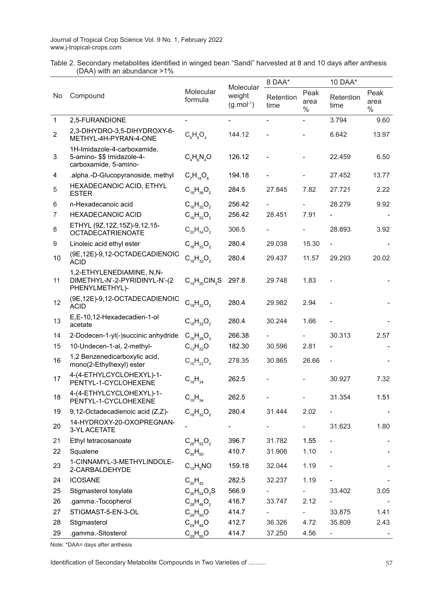Table 2. Secondary metabolites identified in winged bean "Sandi" harvested at 8 and 10 days after anthesis (DAA) with an abundance >1%

|                |                                                                                    |                        |                                    | 8 DAA*            |                          | 10 DAA*           |                               |
|----------------|------------------------------------------------------------------------------------|------------------------|------------------------------------|-------------------|--------------------------|-------------------|-------------------------------|
| No             | Compound                                                                           | Molecular<br>formula   | Molecular<br>weight<br>$(g.mol-1)$ | Retention<br>time | Peak<br>area<br>$\%$     | Retention<br>time | Peak<br>area<br>$\frac{0}{0}$ |
| $\mathbf{1}$   | 2,5-FURANDIONE                                                                     |                        |                                    | -                 | $\overline{\phantom{0}}$ | 3.794             | 9.60                          |
| $\overline{c}$ | 2,3-DIHYDRO-3,5-DIHYDROXY-6-<br>METHYL-4H-PYRAN-4-ONE                              | $C_6H_8O_4$            | 144.12                             |                   |                          | 6.642             | 13.97                         |
| 3              | 1H-Imidazole-4-carboxamide,<br>5-amino- \$\$ Imidazole-4-<br>carboxamide, 5-amino- | $C_4H_6N_4O$           | 126.12                             |                   |                          | 22.459            | 6.50                          |
| 4              | .alpha.-D-Glucopyranoside, methyl                                                  | $C_7H_{14}O_6$         | 194.18                             |                   |                          | 27.452            | 13.77                         |
| 5              | HEXADECANOIC ACID, ETHYL<br><b>ESTER</b>                                           | $C_{18}H_{36}O_2$      | 284.5                              | 27.845            | 7.82                     | 27.721            | 2.22                          |
| 6              | n-Hexadecanoic acid                                                                | $C_{16}H_{32}O_2$      | 256.42                             |                   |                          | 28.279            | 9.92                          |
| $\overline{7}$ | <b>HEXADECANOIC ACID</b>                                                           | $C_{16}H_{32}O_2$      | 256.42                             | 28.451            | 7.91                     |                   |                               |
| 8              | ETHYL (9Z, 12Z, 15Z)-9, 12, 15-<br><b>OCTADECATRIENOATE</b>                        | $C_{20}H_{34}O_2$      | 306.5                              |                   |                          | 28.893            | 3.92                          |
| 9              | Linoleic acid ethyl ester                                                          | $C_{18}H_{32}O_2$      | 280.4                              | 29.038            | 15.30                    |                   |                               |
| 10             | (9E,12E)-9,12-OCTADECADIENOIC<br><b>ACID</b>                                       | $C_{18}H_{32}O_2$      | 280.4                              | 29.437            | 11.57                    | 29.293            | 20.02                         |
| 11             | 1,2-ETHYLENEDIAMINE, N,N-<br>DIMETHYL-N'-2-PYRIDINYL-N'-(2<br>PHENYLMETHYL)-       | $C_{14}H_{20}CIN_{3}S$ | 297.8                              | 29.748            | 1.83                     |                   |                               |
| 12             | (9E,12E)-9,12-OCTADECADIENOIC<br><b>ACID</b>                                       | $C_{18}H_{32}O_2$      | 280.4                              | 29.982            | 2.94                     |                   |                               |
| 13             | E,E-10,12-Hexadecadien-1-ol<br>acetate                                             | $C_{18}H_{32}O_2$      | 280.4                              | 30.244            | 1.66                     |                   |                               |
| 14             | 2-Dodecen-1-yl(-)succinic anhydride                                                | $C_{16}H_{26}O_3$      | 266.38                             |                   |                          | 30.313            | 2.57                          |
| 15             | 10-Undecen-1-al, 2-methyl-                                                         | $C_{12}H_{22}O$        | 182.30                             | 30.596            | 2.81                     |                   |                               |
| 16             | 1,2 Benzenedicarboxylic acid,<br>mono(2-Ethylhexyl) ester                          | $C_{16}H_{22}O_4$      | 278.35                             | 30.865            | 26.66                    |                   |                               |
| 17             | 4-(4-ETHYLCYCLOHEXYL)-1-<br>PENTYL-1-CYCLOHEXENE                                   | $C_{19}H_{34}$         | 262.5                              |                   |                          | 30.927            | 7.32                          |
| 18             | 4-(4-ETHYLCYCLOHEXYL)-1-<br>PENTYL-1-CYCLOHEXENE                                   | $C_{19}H_{34}$         | 262.5                              |                   | $\overline{\phantom{0}}$ | 31.354            | 1.51                          |
| 19             | 9,12-Octadecadienoic acid (Z,Z)-                                                   | $C_{18}H_{32}O_2$      | 280.4                              | 31.444            | 2.02                     |                   |                               |
| 20             | 14-HYDROXY-20-OXOPREGNAN-<br>3-YL ACETATE                                          |                        |                                    |                   | $\blacksquare$           | 31.623            | 1.80                          |
| 21             | Ethyl tetracosanoate                                                               | $C_{26}H_{52}O_2$      | 396.7                              | 31.782            | 1.55                     |                   |                               |
| 22             | Squalene                                                                           | $C_{30}H_{50}$         | 410.7                              | 31.906            | 1.10                     |                   |                               |
| 23             | 1-CINNAMYL-3-METHYLINDOLE-<br>2-CARBALDEHYDE                                       | $C_{10}H_{0}NO$        | 159.18                             | 32.044            | 1.19                     |                   |                               |
| 24             | <b>ICOSANE</b>                                                                     | $C_{20}H_{42}$         | 282.5                              | 32.237            | 1.19                     |                   |                               |
| 25             | Stigmasterol tosylate                                                              | $C_{36}H_{54}O_3S$     | 566.9                              |                   |                          | 33.402            | 3.05                          |
| 26             | .gamma.-Tocopherol                                                                 | $C_{28}H_{48}O_2$      | 416.7                              | 33.747            | 2.12                     |                   |                               |
| 27             | STIGMAST-5-EN-3-OL                                                                 | $C_{29}H_{50}O$        | 414.7                              |                   | Ξ.                       | 33.875            | 1.41                          |
| 28             | Stigmasterol                                                                       | $C_{29}H_{48}O$        | 412.7                              | 36.326            | 4.72                     | 35.809            | 2.43                          |
| 29             | .gamma.-Sitosterol                                                                 | $C_{29}H_{50}O$        | 414.7                              | 37.250            | 4.56                     | ۰                 |                               |

Note: \*DAA= days after anthesis

Identification of Secondary Metabolite Compounds in Two Varieties of ..........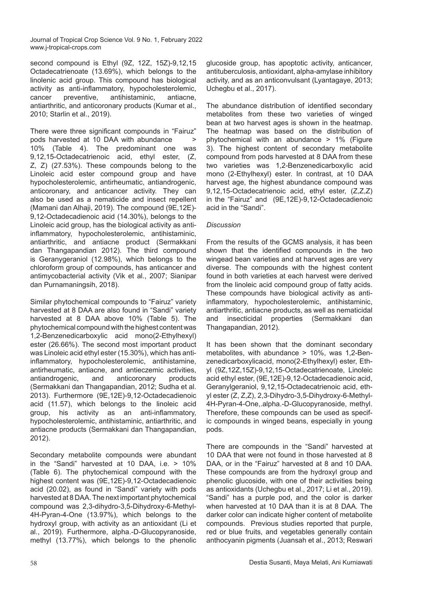second compound is Ethyl (9Z, 12Z, 15Z)-9,12,15 Octadecatrienoate (13.69%), which belongs to the linolenic acid group. This compound has biological activity as anti-inflammatory, hypocholesterolemic, cancer preventive, antihistaminic, antiacne, antiarthritic, and anticoronary products (Kumar et al., 2010; Starlin et al., 2019).

There were three significant compounds in "Fairuz" pods harvested at 10 DAA with abundance > 10% (Table 4). The predominant one was 9,12,15-Octadecatrienoic acid, ethyl ester, (Z, Z, Z) (27.53%). These compounds belong to the Linoleic acid ester compound group and have hypocholesterolemic, antirheumatic, antiandrogenic, anticoronary, and anticancer activity. They can also be used as a nematicide and insect repellent (Mamani dan Alhaji, 2019). The compound (9E,12E)- 9,12-Octadecadienoic acid (14.30%), belongs to the Linoleic acid group, has the biological activity as antiinflammatory, hypocholesterolemic, antihistaminic, antiarthritic, and antiacne product (Sermakkani dan Thangapandian 2012). The third compound is Geranygeraniol (12.98%), which belongs to the chloroform group of compounds, has anticancer and antimycobacterial activity (Vik et al., 2007; Sianipar dan Purnamaningsih, 2018).

Similar phytochemical compounds to "Fairuz" variety harvested at 8 DAA are also found in "Sandi" variety harvested at 8 DAA above 10% (Table 5). The phytochemical compound with the highest content was 1,2-Benzenedicarboxylic acid mono(2-Ethylhexyl) ester (26.66%). The second most important product was Linoleic acid ethyl ester (15.30%), which has antiinflammatory, hypocholesterolemic, antihistamine, antirheumatic, antiacne, and antieczemic activities, antiandrogenic, and anticoronary products (Sermakkani dan Thangapandian, 2012; Sudha et al. 2013). Furthermore (9E,12E)-9,12-Octadecadienoic acid (11.57), which belongs to the linoleic acid group, his activity as an anti-inflammatory, hypocholesterolemic, antihistaminic, antiarthritic, and antiacne products (Sermakkani dan Thangapandian, 2012).

Secondary metabolite compounds were abundant in the "Sandi" harvested at 10 DAA, i.e. > 10% (Table 6). The phytochemical compound with the highest content was (9E,12E)-9,12-Octadecadienoic acid (20.02), as found in "Sandi" variety with pods harvested at 8 DAA. The next important phytochemical compound was 2,3-dihydro-3,5-Dihydroxy-6-Methyl-4H-Pyran-4-One (13.97%), which belongs to the hydroxyl group, with activity as an antioxidant (Li et al., 2019). Furthermore, alpha.-D-Glucopyranoside, methyl (13.77%), which belongs to the phenolic glucoside group, has apoptotic activity, anticancer, antituberculosis, antioxidant, alpha-amylase inhibitory activity, and as an anticonvulsant (Lyantagaye, 2013; Uchegbu et al., 2017).

The abundance distribution of identified secondary metabolites from these two varieties of winged bean at two harvest ages is shown in the heatmap. The heatmap was based on the distribution of phytochemical with an abundance > 1% (Figure 3). The highest content of secondary metabolite compound from pods harvested at 8 DAA from these two varieties was 1,2-Benzenedicarboxylic acid mono (2-Ethylhexyl) ester. In contrast, at 10 DAA harvest age, the highest abundance compound was 9,12,15-Octadecatrienoic acid, ethyl ester, (Z,Z,Z) in the "Fairuz" and (9E,12E)-9,12-Octadecadienoic acid in the "Sandi".

#### *Discussion*

From the results of the GCMS analysis, it has been shown that the identified compounds in the two wingead bean varieties and at harvest ages are very diverse. The compounds with the highest content found in both varieties at each harvest were derived from the linoleic acid compound group of fatty acids. These compounds have biological activity as antiinflammatory, hypocholesterolemic, antihistaminic, antiarthritic, antiacne products, as well as nematicidal and insecticidal properties (Sermakkani dan Thangapandian, 2012).

It has been shown that the dominant secondary metabolites, with abundance > 10%, was 1,2-Benzenedicarboxylicacid, mono(2-Ethylhexyl) ester, Ethyl (9Z,12Z,15Z)-9,12,15-Octadecatrienoate, Linoleic acid ethyl ester, (9E,12E)-9,12-Octadecadienoic acid, Geranylgeraniol, 9,12,15-Octadecatrienoic acid, ethyl ester (Z, Z,Z), 2,3-Dihydro-3,5-Dihydroxy-6-Methyl-4H-Pyran-4-One,.alpha.-D-Glucopyranoside, methyl. Therefore, these compounds can be used as specific compounds in winged beans, especially in young pods.

There are compounds in the "Sandi" harvested at 10 DAA that were not found in those harvested at 8 DAA, or in the "Fairuz" harvested at 8 and 10 DAA. These compounds are from the hydroxyl group and phenolic glucoside, with one of their activities being as antioxidants (Uchegbu et al., 2017; Li et al., 2019). "Sandi" has a purple pod, and the color is darker when harvested at 10 DAA than it is at 8 DAA. The darker color can indicate higher content of metabolite compounds. Previous studies reported that purple, red or blue fruits, and vegetables generally contain anthocyanin pigments (Juansah et al., 2013; Reswari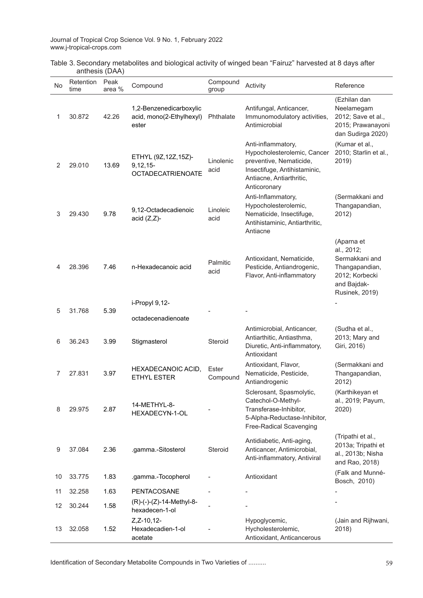| No | Retention<br>time | Peak<br>area % | Compound                                                         | Compound<br>group | Activity                                                                                                                                                 | Reference                                                                                                              |
|----|-------------------|----------------|------------------------------------------------------------------|-------------------|----------------------------------------------------------------------------------------------------------------------------------------------------------|------------------------------------------------------------------------------------------------------------------------|
| 1  | 30.872            | 42.26          | 1,2-Benzenedicarboxylic<br>acid, mono(2-Ethylhexyl)<br>ester     | Phthalate         | Antifungal, Anticancer,<br>Immunomodulatory activities,<br>Antimicrobial                                                                                 | (Ezhilan dan<br>Neelamegam<br>2012; Save et al.,<br>2015; Prawanayoni<br>dan Sudirga 2020)                             |
| 2  | 29.010            | 13.69          | ETHYL (9Z, 12Z, 15Z)-<br>$9,12,15$ -<br><b>OCTADECATRIENOATE</b> | Linolenic<br>acid | Anti-inflammatory,<br>Hypocholesterolemic, Cancer<br>preventive, Nematicide,<br>Insectifuge, Antihistaminic,<br>Antiacne, Antiarthritic,<br>Anticoronary | (Kumar et al.,<br>2010; Starlin et al.,<br>2019)                                                                       |
| 3  | 29.430            | 9.78           | 9,12-Octadecadienoic<br>acid $(Z,Z)$ -                           | Linoleic<br>acid  | Anti-Inflammatory,<br>Hypocholesterolemic,<br>Nematicide, Insectifuge,<br>Antihistaminic, Antiarthritic,<br>Antiacne                                     | (Sermakkani and<br>Thangapandian,<br>2012)                                                                             |
| 4  | 28.396            | 7.46           | n-Hexadecanoic acid                                              | Palmitic<br>acid  | Antioxidant, Nematicide,<br>Pesticide, Antiandrogenic,<br>Flavor, Anti-inflammatory                                                                      | (Aparna et<br>al., 2012;<br>Sermakkani and<br>Thangapandian,<br>2012; Korbecki<br>and Bajdak-<br><b>Rusinek, 2019)</b> |
| 5  | 31.768            | 5.39           | i-Propyl 9,12-                                                   |                   |                                                                                                                                                          |                                                                                                                        |
|    |                   |                | octadecenadienoate                                               |                   |                                                                                                                                                          |                                                                                                                        |
| 6  | 36.243            | 3.99           | Stigmasterol                                                     | Steroid           | Antimicrobial, Anticancer,<br>Antiarthitic, Antiasthma,<br>Diuretic, Anti-inflammatory,<br>Antioxidant                                                   | (Sudha et al.,<br>2013; Mary and<br>Giri, 2016)                                                                        |
| 7  | 27.831            | 3.97           | HEXADECANOIC ACID,<br><b>ETHYL ESTER</b>                         | Ester<br>Compound | Antioxidant, Flavor,<br>Nematicide, Pesticide,<br>Antiandrogenic                                                                                         | (Sermakkani and<br>Thangapandian,<br>2012)                                                                             |
| 8  | 29.975            | 2.87           | 14-METHYL-8-<br>HEXADECYN-1-OL                                   |                   | Sclerosant, Spasmolytic,<br>Catechol-O-Methyl-<br>Transferase-Inhibitor,<br>5-Alpha-Reductase-Inhibitor,<br>Free-Radical Scavenging                      | (Karthikeyan et<br>al., 2019; Payum,<br>2020)                                                                          |
| 9  | 37.084            | 2.36           | .gamma.-Sitosterol                                               | Steroid           | Antidiabetic, Anti-aging,<br>Anticancer, Antimicrobial,<br>Anti-inflammatory, Antiviral                                                                  | (Tripathi et al.,<br>2013a; Tripathi et<br>al., 2013b; Nisha<br>and Rao, 2018)                                         |
| 10 | 33.775            | 1.83           | .gamma.-Tocopherol                                               |                   | Antioxidant                                                                                                                                              | (Falk and Munné-<br>Bosch, 2010)                                                                                       |
| 11 | 32.258            | 1.63           | PENTACOSANE                                                      |                   |                                                                                                                                                          |                                                                                                                        |
| 12 | 30.244            | 1.58           | (R)-(-)-(Z)-14-Methyl-8-<br>hexadecen-1-ol                       |                   |                                                                                                                                                          |                                                                                                                        |
| 13 | 32.058            | 1.52           | $Z$ , $Z - 10$ , $12 -$<br>Hexadecadien-1-ol<br>acetate          |                   | Hypoglycemic,<br>Hycholesterolemic,<br>Antioxidant, Anticancerous                                                                                        | (Jain and Rijhwani,<br>2018)                                                                                           |

Table 3. Secondary metabolites and biological activity of winged bean "Fairuz" harvested at 8 days after anthesis (DAA)

Identification of Secondary Metabolite Compounds in Two Varieties of ..........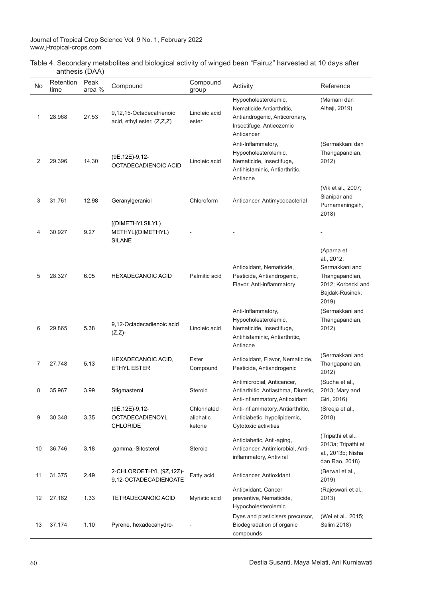|                | Table 4. Secondary metabolites and biological activity of winged bean "Fairuz" harvested at 10 days after |  |
|----------------|-----------------------------------------------------------------------------------------------------------|--|
| anthesis (DAA) |                                                                                                           |  |
|                |                                                                                                           |  |

| No | Retention<br>time | Peak<br>area % | Compound                                               | Compound<br>group                  | Activity                                                                                                                     | Reference                                                                                                      |
|----|-------------------|----------------|--------------------------------------------------------|------------------------------------|------------------------------------------------------------------------------------------------------------------------------|----------------------------------------------------------------------------------------------------------------|
| 1  | 28.968            | 27.53          | 9,12,15-Octadecatrienoic<br>acid, ethyl ester, (Z,Z,Z) | Linoleic acid<br>ester             | Hypocholesterolemic,<br>Nematicide Antiarthritic,<br>Antiandrogenic, Anticoronary,<br>Insectifuge, Antieczemic<br>Anticancer | (Mamani dan<br>Alhaji, 2019)                                                                                   |
| 2  | 29.396            | 14.30          | (9E, 12E)-9, 12-<br>OCTADECADIENOIC ACID               | Linoleic acid                      | Anti-Inflammatory,<br>Hypocholesterolemic,<br>Nematicide, Insectifuge,<br>Antihistaminic, Antiarthritic,<br>Antiacne         | (Sermakkani dan<br>Thangapandian,<br>2012)                                                                     |
| 3  | 31.761            | 12.98          | Geranylgeraniol                                        | Chloroform                         | Anticancer, Antimycobacterial                                                                                                | (Vik et al., 2007;<br>Sianipar and<br>Purnamaningsih,<br>2018)                                                 |
| 4  | 30.927            | 9.27           | [(DIMETHYLSILYL)<br>METHYL](DIMETHYL)<br><b>SILANE</b> |                                    |                                                                                                                              |                                                                                                                |
| 5  | 28.327            | 6.05           | <b>HEXADECANOIC ACID</b>                               | Palmitic acid                      | Antioxidant, Nematicide,<br>Pesticide, Antiandrogenic,<br>Flavor, Anti-inflammatory                                          | (Aparna et<br>al., 2012;<br>Sermakkani and<br>Thangapandian,<br>2012; Korbecki and<br>Bajdak-Rusinek,<br>2019) |
| 6  | 29.865            | 5.38           | 9,12-Octadecadienoic acid<br>$(Z,Z)$ -                 | Linoleic acid                      | Anti-Inflammatory,<br>Hypocholesterolemic,<br>Nematicide, Insectifuge,<br>Antihistaminic, Antiarthritic,<br>Antiacne         | (Sermakkani and<br>Thangapandian,<br>2012)                                                                     |
| 7  | 27.748            | 5.13           | HEXADECANOIC ACID,<br><b>ETHYL ESTER</b>               | Ester<br>Compound                  | Antioxidant, Flavor, Nematicide,<br>Pesticide, Antiandrogenic                                                                | (Sermakkani and<br>Thangapandian,<br>2012)                                                                     |
| 8  | 35.967            | 3.99           | Stigmasterol                                           | Steroid                            | Antimicrobial, Anticancer,<br>Antiarthitic, Antiasthma, Diuretic,<br>Anti-inflammatory, Antioxidant                          | (Sudha et al.,<br>2013; Mary and<br>Giri, 2016)                                                                |
| 9  | 30.348            | 3.35           | (9E, 12E)-9, 12-<br>OCTADECADIENOYL<br><b>CHLORIDE</b> | Chlorinated<br>aliphatic<br>ketone | Anti-inflammatory, Antiarthritic,<br>Antidiabetic, hypolipidemic,<br>Cytotoxic activities                                    | (Sreeja et al.,<br>2018)                                                                                       |
| 10 | 36.746            | 3.18           | .gamma.-Sitosterol                                     | Steroid                            | Antidiabetic, Anti-aging,<br>Anticancer, Antimicrobial, Anti-<br>inflammatory, Antiviral                                     | (Tripathi et al.,<br>2013a; Tripathi et<br>al., 2013b; Nisha<br>dan Rao, 2018)                                 |
| 11 | 31.375            | 2.49           | 2-CHLOROETHYL (9Z,12Z)-<br>9,12-OCTADECADIENOATE       | Fatty acid                         | Anticancer, Antioxidant                                                                                                      | (Berwal et al.,<br>2019)                                                                                       |
| 12 | 27.162            | 1.33           | TETRADECANOIC ACID                                     | Myristic acid                      | Antioxidant, Cancer<br>preventive, Nematicide,<br>Hypocholesterolemic                                                        | (Rajeswari et al.,<br>2013)                                                                                    |
| 13 | 37.174            | 1.10           | Pyrene, hexadecahydro-                                 |                                    | Dyes and plasticisers precursor,<br>Biodegradation of organic<br>compounds                                                   | (Wei et al., 2015;<br>Salim 2018)                                                                              |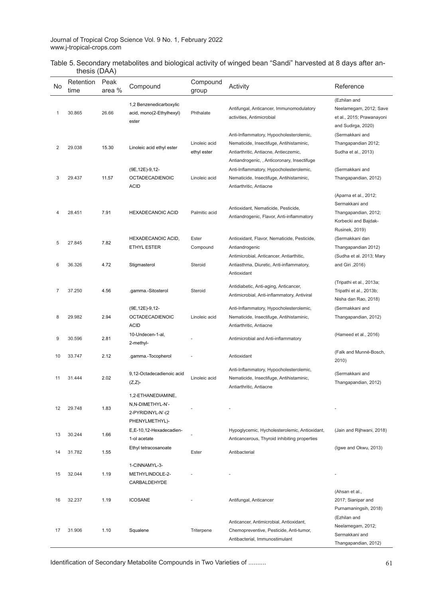| Table 5. Secondary metabolites and biological activity of winged bean "Sandi" harvested at 8 days after an- |  |  |
|-------------------------------------------------------------------------------------------------------------|--|--|
| thesis (DAA)                                                                                                |  |  |

| No. | Retention<br>time | Peak<br>area % | Compound                                                                      | Compound<br>group            | Activity                                                                                                                                                                    | Reference                                                                                 |
|-----|-------------------|----------------|-------------------------------------------------------------------------------|------------------------------|-----------------------------------------------------------------------------------------------------------------------------------------------------------------------------|-------------------------------------------------------------------------------------------|
| 1   | 30.865            | 26.66          | 1,2 Benzenedicarboxylic<br>acid, mono(2-Ethylhexyl)<br>ester                  | Phthalate                    | Antifungal, Anticancer, Immunomodulatory<br>activities, Antimicrobial                                                                                                       | (Ezhilan and<br>Neelamegam, 2012; Save<br>et al., 2015; Prawanayoni<br>and Sudirga, 2020) |
| 2   | 29.038            | 15.30          | Linoleic acid ethyl ester                                                     | Linoleic acid<br>ethyl ester | Anti-Inflammatory, Hypocholesterolemic,<br>Nematicide, Insectifuge, Antihistaminic,<br>Antiarthritic, Antiacne, Antieczemic,<br>Antiandrogenic, , Anticoronary, Insectifuge | (Sermakkani and<br>Thangapandian 2012;<br>Sudha et al., 2013)                             |
| 3   | 29.437            | 11.57          | (9E, 12E)-9, 12-<br><b>OCTADECADIENOIC</b><br><b>ACID</b>                     | Linoleic acid                | Anti-Inflammatory, Hypocholesterolemic,<br>Nematicide, Insectifuge, Antihistaminic,<br>Antiarthritic, Antiacne                                                              | (Sermakkani and<br>Thangapandian, 2012)                                                   |
| 4   | 28.451            | 7.91           | <b>HEXADECANOIC ACID</b>                                                      | Palmitic acid                | Antioxidant, Nematicide, Pesticide,<br>Antiandrogenic, Flavor, Anti-inflammatory                                                                                            | (Aparna et al., 2012;<br>Sermakkani and<br>Thangapandian, 2012;<br>Korbecki and Bajdak-   |
| 5   | 27.845            | 7.82           | HEXADECANOIC ACID,<br><b>ETHYL ESTER</b>                                      | Ester<br>Compound            | Antioxidant, Flavor, Nematicide, Pesticide,<br>Antiandrogenic                                                                                                               | <b>Rusinek, 2019)</b><br>(Sermakkani dan<br>Thangapandian 2012)                           |
| 6   | 36.326            | 4.72           | Stigmasterol                                                                  | Steroid                      | Antimicrobial, Anticancer, Antiarthitic,<br>Antiasthma, Diuretic, Anti-inflammatory,<br>Antioxidant                                                                         | (Sudha et al. 2013; Mary<br>and Giri, 2016)                                               |
| 7   | 37.250            | 4.56           | .gamma.-Sitosterol                                                            | Steroid                      | Antidiabetic, Anti-aging, Anticancer,<br>Antimicrobial, Anti-inflammatory, Antiviral                                                                                        | (Tripathi et al., 2013a;<br>Tripathi et al., 2013b;<br>Nisha dan Rao, 2018)               |
| 8   | 29.982            | 2.94           | (9E, 12E)-9, 12-<br><b>OCTADECADIENOIC</b><br><b>ACID</b>                     | Linoleic acid                | Anti-Inflammatory, Hypocholesterolemic,<br>Nematicide, Insectifuge, Antihistaminic,<br>Antiarthritic, Antiacne                                                              | (Sermakkani and<br>Thangapandian, 2012)                                                   |
| 9   | 30.596            | 2.81           | 10-Undecen-1-al,<br>2-methyl-                                                 |                              | Antimicrobial and Anti-inflammatory                                                                                                                                         | (Hameed et al., 2016)                                                                     |
| 10  | 33.747            | 2.12           | .gamma.-Tocopherol                                                            |                              | Antioxidant                                                                                                                                                                 | (Falk and Munné-Bosch,<br>2010)                                                           |
| 11  | 31.444            | 2.02           | 9,12-Octadecadienoic acid<br>$(Z,Z)$ -                                        | Linoleic acid                | Anti-Inflammatory, Hypocholesterolemic,<br>Nematicide, Insectifuge, Antihistaminic,<br>Antiarthritic, Antiacne                                                              | (Sermakkani and<br>Thangapandian, 2012)                                                   |
| 12  | 29.748            | 1.83           | 1,2-ETHANEDIAMINE,<br>N,N-DIMETHYL-N'-<br>2-PYRIDINYL-N'-(2<br>PHENYLMETHYL)- |                              |                                                                                                                                                                             |                                                                                           |
| 13  | 30.244            | 1.66           | E,E-10,12-Hexadecadien-<br>1-ol acetate                                       | ÷,                           | Hypoglycemic, Hycholesterolemic, Antioxidant,<br>Anticancerous, Thyroid inhibiting properties                                                                               | (Jain and Rijhwani, 2018)                                                                 |
| 14  | 31.782            | 1.55           | Ethyl tetracosanoate                                                          | Ester                        | Antibacterial                                                                                                                                                               | (Igwe and Okwu, 2013)                                                                     |
| 15  | 32.044            | 1.19           | 1-CINNAMYL-3-<br>METHYLINDOLE-2-<br>CARBALDEHYDE                              |                              |                                                                                                                                                                             |                                                                                           |
| 16  | 32.237            | 1.19           | <b>ICOSANE</b>                                                                |                              | Antifungal, Anticancer                                                                                                                                                      | (Ahsan et al.,<br>2017; Sianipar and<br>Purnamaningsih, 2018)                             |
| 17  | 31.906            | 1.10           | Squalene                                                                      | Triterpene                   | Anticancer, Antimicrobial, Antioxidant,<br>Chemopreventive, Pesticide, Anti-tumor,<br>Antibacterial, Immunostimulant                                                        | (Ezhilan and<br>Neelamegam, 2012;<br>Sermakkani and<br>Thangapandian, 2012)               |

Identification of Secondary Metabolite Compounds in Two Varieties of ..........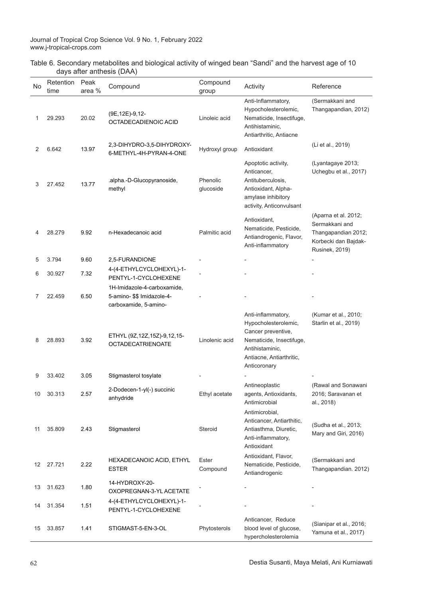|                           |  | Table 6. Secondary metabolites and biological activity of winged bean "Sandi" and the harvest age of 10 |
|---------------------------|--|---------------------------------------------------------------------------------------------------------|
| days after anthesis (DAA) |  |                                                                                                         |

| No. | Retention<br>time | Peak<br>area % | Compound                                                                           | Compound<br>group     | Activity                                                                                                                                                    | Reference                                                                                                      |
|-----|-------------------|----------------|------------------------------------------------------------------------------------|-----------------------|-------------------------------------------------------------------------------------------------------------------------------------------------------------|----------------------------------------------------------------------------------------------------------------|
| 1   | 29.293            | 20.02          | (9E, 12E)-9, 12-<br>OCTADECADIENOIC ACID                                           | Linoleic acid         | Anti-Inflammatory,<br>Hypocholesterolemic,<br>Nematicide, Insectifuge,<br>Antihistaminic,<br>Antiarthritic, Antiacne                                        | (Sermakkani and<br>Thangapandian, 2012)                                                                        |
| 2   | 6.642             | 13.97          | 2,3-DIHYDRO-3,5-DIHYDROXY-<br>6-METHYL-4H-PYRAN-4-ONE                              | Hydroxyl group        | Antioxidant                                                                                                                                                 | (Li et al., 2019)                                                                                              |
| 3   | 27.452            | 13.77          | .alpha.-D-Glucopyranoside,<br>methyl                                               | Phenolic<br>glucoside | Apoptotic activity,<br>Anticancer,<br>Antituberculosis,<br>Antioxidant, Alpha-<br>amylase inhibitory<br>activity, Anticonvulsant                            | (Lyantagaye 2013;<br>Uchegbu et al., 2017)                                                                     |
| 4   | 28.279            | 9.92           | n-Hexadecanoic acid                                                                | Palmitic acid         | Antioxidant,<br>Nematicide, Pesticide,<br>Antiandrogenic, Flavor,<br>Anti-inflammatory                                                                      | (Aparna et al. 2012;<br>Sermakkani and<br>Thangapandian 2012;<br>Korbecki dan Bajdak-<br><b>Rusinek, 2019)</b> |
| 5   | 3.794             | 9.60           | 2,5-FURANDIONE                                                                     |                       |                                                                                                                                                             |                                                                                                                |
| 6   | 30.927            | 7.32           | 4-(4-ETHYLCYCLOHEXYL)-1-<br>PENTYL-1-CYCLOHEXENE                                   |                       |                                                                                                                                                             |                                                                                                                |
| 7   | 22.459            | 6.50           | 1H-Imidazole-4-carboxamide,<br>5-amino- \$\$ Imidazole-4-<br>carboxamide, 5-amino- |                       |                                                                                                                                                             |                                                                                                                |
| 8   | 28.893            | 3.92           | ETHYL (9Z, 12Z, 15Z)-9, 12, 15-<br><b>OCTADECATRIENOATE</b>                        | Linolenic acid        | Anti-inflammatory,<br>Hypocholesterolemic,<br>Cancer preventive,<br>Nematicide, Insectifuge,<br>Antihistaminic,<br>Antiacne, Antiarthritic,<br>Anticoronary | (Kumar et al., 2010;<br>Starlin et al., 2019)                                                                  |
| 9   | 33.402            | 3.05           | Stigmasterol tosylate                                                              |                       |                                                                                                                                                             |                                                                                                                |
| 10  | 30.313            | 2.57           | 2-Dodecen-1-yl(-) succinic<br>anhydride                                            | Ethyl acetate         | Antineoplastic<br>agents, Antioxidants,<br>Antimicrobial                                                                                                    | (Rawal and Sonawani<br>2016; Saravanan et<br>al., 2018)                                                        |
| 11  | 35.809            | 2.43           | Stigmasterol                                                                       | Steroid               | Antimicrobial,<br>Anticancer, Antiarthitic,<br>Antiasthma, Diuretic,<br>Anti-inflammatory,<br>Antioxidant                                                   | (Sudha et al., 2013;<br>Mary and Giri, 2016)                                                                   |
| 12  | 27.721            | 2.22           | HEXADECANOIC ACID, ETHYL<br><b>ESTER</b>                                           | Ester<br>Compound     | Antioxidant, Flavor,<br>Nematicide, Pesticide,<br>Antiandrogenic                                                                                            | (Sermakkani and<br>Thangapandian. 2012)                                                                        |
| 13  | 31.623            | 1.80           | 14-HYDROXY-20-<br>OXOPREGNAN-3-YL ACETATE                                          |                       |                                                                                                                                                             |                                                                                                                |
| 14  | 31.354            | 1.51           | 4-(4-ETHYLCYCLOHEXYL)-1-<br>PENTYL-1-CYCLOHEXENE                                   |                       |                                                                                                                                                             |                                                                                                                |
| 15  | 33.857            | 1.41           | STIGMAST-5-EN-3-OL                                                                 | Phytosterols          | Anticancer, Reduce<br>blood level of glucose,<br>hypercholesterolemia                                                                                       | (Sianipar et al., 2016;<br>Yamuna et al., 2017)                                                                |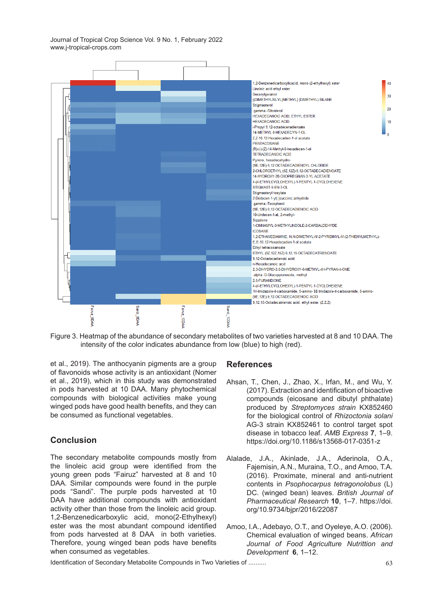

Figure 3. Heatmap of the abundance of secondary metabolites of two varieties harvested at 8 and 10 DAA. The intensity of the color indicates abundance from low (blue) to high (red).

et al., 2019). The anthocyanin pigments are a group of flavonoids whose activity is an antioxidant (Nomer et al., 2019), which in this study was demonstrated in pods harvested at 10 DAA. Many phytochemical compounds with biological activities make young winged pods have good health benefits, and they can be consumed as functional vegetables.

# **Conclusion**

The secondary metabolite compounds mostly from the linoleic acid group were identified from the young green pods "Fairuz" harvested at 8 and 10 DAA. Similar compounds were found in the purple pods "Sandi". The purple pods harvested at 10 DAA have additional compounds with antioxidant activity other than those from the linoleic acid group. 1,2-Benzenedicarboxylic acid, mono(2-Ethylhexyl) ester was the most abundant compound identified from pods harvested at 8 DAA in both varieties. Therefore, young winged bean pods have benefits when consumed as vegetables.

#### **References**

- Ahsan, T., Chen, J., Zhao, X., Irfan, M., and Wu, Y. (2017). Extraction and identification of bioactive compounds (eicosane and dibutyl phthalate) produced by *Streptomyces strain* KX852460 for the biological control of *Rhizoctonia solani*  AG-3 strain KX852461 to control target spot disease in tobacco leaf. *AMB Express* **7**, 1–9. https://doi.org/10.1186/s13568-017-0351-z
- Alalade, J.A., Akinlade, J.A., Aderinola, O.A., Fajemisin, A.N., Muraina, T.O., and Amoo, T.A. (2016). Proximate, mineral and anti-nutrient contents in *Psophocarpus tetragonolobus* (L) DC. (winged bean) leaves. *British Journal of Pharmaceutical Research* **10**, 1–7. https://doi. org/10.9734/bjpr/2016/22087
- Amoo, I.A., Adebayo, O.T., and Oyeleye, A.O. (2006). Chemical evaluation of winged beans. *African Journal of Food Agriculture Nutrittion and Development* **6**, 1–12.

Identification of Secondary Metabolite Compounds in Two Varieties of .........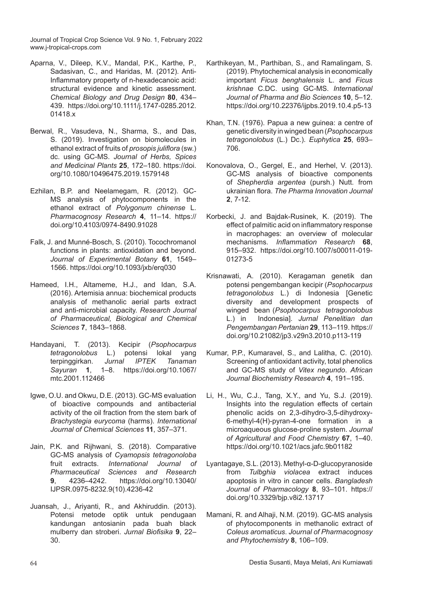- Aparna, V., Dileep, K.V., Mandal, P.K., Karthe, P., Sadasivan, C., and Haridas, M. (2012). Anti-Inflammatory property of n-hexadecanoic acid: structural evidence and kinetic assessment. *Chemical Biology and Drug Design* **80**, 434– 439. https://doi.org/10.1111/j.1747-0285.2012. 01418.x
- Berwal, R., Vasudeva, N., Sharma, S., and Das, S. (2019). Investigation on biomolecules in ethanol extract of fruits of *prosopis juliflora* (sw.) dc. using GC-MS. *Journal of Herbs, Spices and Medicinal Plants* **25**, 172–180. https://doi. org/10.1080/10496475.2019.1579148
- Ezhilan, B.P. and Neelamegam, R. (2012). GC-MS analysis of phytocomponents in the ethanol extract of *Polygonum chinense* L. *Pharmacognosy Research* **4**, 11–14. https:// doi.org/10.4103/0974-8490.91028
- Falk, J. and Munné-Bosch, S. (2010). Tocochromanol functions in plants: antioxidation and beyond. *Journal of Experimental Botany* **61**, 1549– 1566. https://doi.org/10.1093/jxb/erq030
- Hameed, I.H., Altameme, H.J., and Idan, S.A. (2016). Artemisia annua: biochemical products analysis of methanolic aerial parts extract and anti-microbial capacity. *Research Journal of Pharmaceutical, Biological and Chemical Sciences* **7**, 1843–1868.
- Handayani, T. (2013). Kecipir (*Psophocarpus tetragonolobus* L.) potensi lokal yang terpinggirkan. *Jurnal IPTEK Tanaman Sayuran* **1**, 1–8. https://doi.org/10.1067/ mtc.2001.112466
- Igwe, O.U. and Okwu, D.E. (2013). GC-MS evaluation of bioactive compounds and antibacterial activity of the oil fraction from the stem bark of *Brachystegia eurycoma* (harms). *International Journal of Chemical Sciences* **11**, 357–371.
- Jain, P.K. and Rijhwani, S. (2018). Comparative GC-MS analysis of *Cyamopsis tetragonoloba*  fruit extracts. *International Pharmaceutical Sciences and Research*  **9**, 4236–4242. https://doi.org/10.13040/ IJPSR.0975-8232.9(10).4236-42
- Juansah, J., Ariyanti, R., and Akhiruddin. (2013). Potensi metode optik untuk pendugaan kandungan antosianin pada buah black mulberry dan stroberi. *Jurnal Biofisika* **9**, 22– 30.
- Karthikeyan, M., Parthiban, S., and Ramalingam, S. (2019). Phytochemical analysis in economically important *Ficus benghalensis* L. and *Ficus krishnae* C.DC. using GC-MS. *International Journal of Pharma and Bio Sciences* **10**, 5–12. https://doi.org/10.22376/ijpbs.2019.10.4.p5-13
- Khan, T.N. (1976). Papua a new guinea: a centre of genetic diversity in winged bean (*Psophocarpus tetragonolobus* (L.) Dc.). *Euphytica* **25**, 693– 706.
- Konovalova, O., Gergel, E., and Herhel, V. (2013). GC-MS analysis of bioactive components of *Shepherdia argentea* (pursh.) Nutt. from ukrainian flora. *The Pharma Innovation Journal*  **2**, 7-12.
- Korbecki, J. and Bajdak-Rusinek, K. (2019). The effect of palmitic acid on inflammatory response in macrophages: an overview of molecular mechanisms. *Inflammation Research* **68**, 915–932. https://doi.org/10.1007/s00011-019- 01273-5
- Krisnawati, A. (2010). Keragaman genetik dan potensi pengembangan kecipir (*Psophocarpus tetragonolobus* L.) di Indonesia [Genetic diversity and development prospects of winged bean (*Psophocarpus tetragonolobus*  L.) in Indonesia]. *Jurnal Penelitian dan Pengembangan Pertanian* **29**, 113–119. https:// doi.org/10.21082/jp3.v29n3.2010.p113-119
- Kumar, P.P., Kumaravel, S., and Lalitha, C. (2010). Screening of antioxidant activity, total phenolics and GC-MS study of *Vitex negundo*. *African Journal Biochemistry Research* **4**, 191–195.
- Li, H., Wu, C.J., Tang, X.Y., and Yu, S.J. (2019). Insights into the regulation effects of certain phenolic acids on 2,3-dihydro-3,5-dihydroxy-6-methyl-4(H)-pyran-4-one formation in a microaqueous glucose-proline system. *Journal of Agricultural and Food Chemistry* **67**, 1–40. https://doi.org/10.1021/acs.jafc.9b01182
- Lyantagaye, S.L. (2013). Methyl-α-D-glucopyranoside from *Tulbghia violacea* extract induces apoptosis in vitro in cancer cells. *Bangladesh Journal of Pharmacology* **8**, 93–101. https:// doi.org/10.3329/bjp.v8i2.13717
- Mamani, R. and Alhaji, N.M. (2019). GC-MS analysis of phytocomponents in methanolic extract of *Coleus aromaticus*. *Journal of Pharmacognosy and Phytochemistry* **8**, 106–109.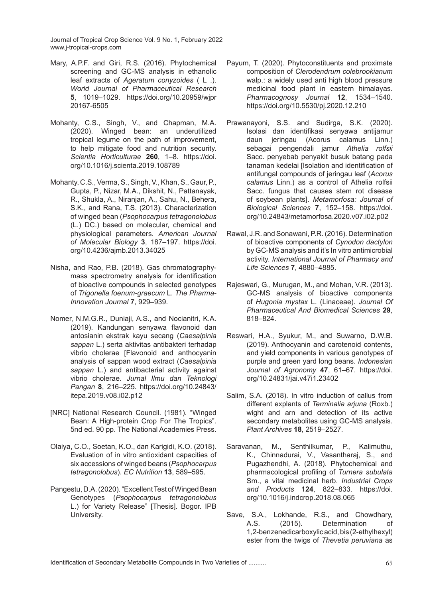- Mary, A.P.F. and Giri, R.S. (2016). Phytochemical screening and GC-MS analysis in ethanolic leaf extracts of *Ageratum conyzoides* ( L .). *World Journal of Pharmaceutical Research*  **5**, 1019–1029. https://doi.org/10.20959/wjpr 20167-6505
- Mohanty, C.S., Singh, V., and Chapman, M.A. (2020). Winged bean: an underutilized tropical legume on the path of improvement, to help mitigate food and nutrition security. *Scientia Horticulturae* **260**, 1–8. https://doi. org/10.1016/j.scienta.2019.108789
- Mohanty, C.S., Verma, S., Singh, V., Khan, S., Gaur, P., Gupta, P., Nizar, M.A., Dikshit, N., Pattanayak, R., Shukla, A., Niranjan, A., Sahu, N., Behera, S.K., and Rana, T.S. (2013). Characterization of winged bean (*Psophocarpus tetragonolobus*  (L.) DC.) based on molecular, chemical and physiological parameters. *American Journal of Molecular Biology* **3**, 187–197. https://doi. org/10.4236/ajmb.2013.34025
- Nisha, and Rao, P.B. (2018). Gas chromatographymass spectrometry analysis for identification of bioactive compounds in selected genotypes of *Trigonella foenum-graecum* L. *The Pharma-Innovation Journal* **7**, 929–939.
- Nomer, N.M.G.R., Duniaji, A.S., and Nocianitri, K.A. (2019). Kandungan senyawa flavonoid dan antosianin ekstrak kayu secang (*Caesalpinia sappan* L.) serta aktivitas antibakteri terhadap vibrio cholerae [Flavonoid and anthocyanin analysis of sappan wood extract (*Caesalpinia sappan* L.) and antibacterial activity against vibrio cholerae. *Jurnal Ilmu dan Teknologi Pangan* **8**, 216–225. https://doi.org/10.24843/ itepa.2019.v08.i02.p12
- [NRC] National Research Council. (1981). "Winged Bean: A High-protein Crop For The Tropics". 5nd ed. 90 pp. The National Academies Press.
- Olaiya, C.O., Soetan, K.O., dan Karigidi, K.O. (2018). Evaluation of in vitro antioxidant capacities of six accessions of winged beans (*Psophocarpus tetragonolobus*). *EC Nutrition* **13**, 589–595.
- Pangestu, D.A. (2020). "Excellent Test of Winged Bean Genotypes (*Psophocarpus tetragonolobus*  L.) for Variety Release" [Thesis]. Bogor. IPB University.
- Payum, T. (2020). Phytoconstituents and proximate composition of *Clerodendrum colebrookianum*  walp.: a widely used anti high blood pressure medicinal food plant in eastern himalayas. *Pharmacognosy Journal* **12**, 1534–1540. https://doi.org/10.5530/pj.2020.12.210
- Prawanayoni, S.S. and Sudirga, S.K. (2020). Isolasi dan identifikasi senyawa antijamur daun jeringau (Acorus calamus Linn.) sebagai pengendali jamur *Athelia rolfsii*  Sacc. penyebab penyakit busuk batang pada tanaman kedelai [Isolation and identification of antifungal compounds of jeringau leaf (*Acorus calamus* Linn.) as a control of Athelia rolfsii Sacc. fungus that causes stem rot disease of soybean plants]. *Metamorfosa: Journal of Biological Sciences* **7**, 152–158. https://doi. org/10.24843/metamorfosa.2020.v07.i02.p02
- Rawal, J.R. and Sonawani, P.R. (2016). Determination of bioactive components of *Cynodon dactylon*  by GC-MS analysis and it's In vitro antimicrobial activity. *International Journal of Pharmacy and Life Sciences* **7**, 4880–4885.
- Rajeswari, G., Murugan, M., and Mohan, V.R. (2013). GC-MS analysis of bioactive components of *Hugonia mystax* L. (Linaceae). *Journal Of Pharmaceutical And Biomedical Sciences* **29**, 818–824.
- Reswari, H.A., Syukur, M., and Suwarno, D.W.B. (2019). Anthocyanin and carotenoid contents, and yield components in various genotypes of purple and green yard long beans. *Indonesian Journal of Agronomy* **47**, 61–67. https://doi. org/10.24831/jai.v47i1.23402
- Salim, S.A. (2018). In vitro induction of callus from different explants of *Terminalia arjuna* (Roxb.) wight and arn and detection of its active secondary metabolites using GC-MS analysis. *Plant Archives* **18**, 2519–2527.
- Saravanan, M., Senthilkumar, P., Kalimuthu, K., Chinnadurai, V., Vasantharaj, S., and Pugazhendhi, A. (2018). Phytochemical and pharmacological profiling of *Turnera subulata*  Sm., a vital medicinal herb. *Industrial Crops and Products* **124**, 822–833. https://doi. org/10.1016/j.indcrop.2018.08.065
- Save, S.A., Lokhande, R.S., and Chowdhary, A.S. (2015). Determination of 1,2-benzenedicarboxylic acid, bis (2-ethylhexyl) ester from the twigs of *Thevetia peruviana* as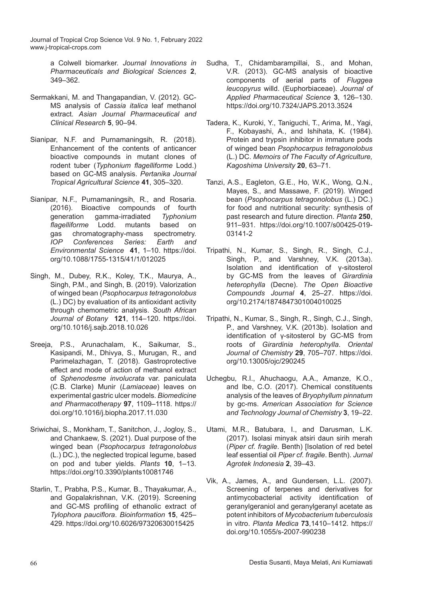> a Colwell biomarker. *Journal Innovations in Pharmaceuticals and Biological Sciences* **2**, 349–362.

- Sermakkani, M. and Thangapandian, V. (2012). GC-MS analysis of *Cassia italica* leaf methanol extract. *Asian Journal Pharmaceutical and Clinical Research* **5**, 90–94.
- Sianipar, N.F. and Purnamaningsih, R. (2018). Enhancement of the contents of anticancer bioactive compounds in mutant clones of rodent tuber (*Typhonium flagelliforme* Lodd.) based on GC-MS analysis. *Pertanika Journal Tropical Agricultural Science* **41**, 305–320.
- Sianipar, N.F., Purnamaningsih, R., and Rosaria. (2016). Bioactive compounds of fourth generation gamma-irradiated *Typhonium flagelliforme* Lodd. mutants based on gas chromatography-mass spectrometry. *IOP Conferences Series: Earth and Environmental Science* **41**, 1–10. https://doi. org/10.1088/1755-1315/41/1/012025
- Singh, M., Dubey, R.K., Koley, T.K., Maurya, A., Singh, P.M., and Singh, B. (2019). Valorization of winged bean (*Psophocarpus tetragonolobus*  (L.) DC) by evaluation of its antioxidant activity through chemometric analysis. *South African Journal of Botany* **121**, 114–120. https://doi. org/10.1016/j.sajb.2018.10.026
- Sreeja, P.S., Arunachalam, K., Saikumar, S., Kasipandi, M., Dhivya, S., Murugan, R., and Parimelazhagan, T. (2018). Gastroprotective effect and mode of action of methanol extract of *Sphenodesme involucrata* var. paniculata (C.B. Clarke) Munir (*Lamiaceae*) leaves on experimental gastric ulcer models. *Biomedicine and Pharmacotherapy* **97**, 1109–1118. https:// doi.org/10.1016/j.biopha.2017.11.030
- Sriwichai, S., Monkham, T., Sanitchon, J., Jogloy, S., and Chankaew, S. (2021). Dual purpose of the winged bean (*Psophocarpus tetragonolobus*  (L.) DC.), the neglected tropical legume, based on pod and tuber yields. *Plants* **10**, 1–13. https://doi.org/10.3390/plants10081746
- Starlin, T., Prabha, P.S., Kumar, B., Thayakumar, A., and Gopalakrishnan, V.K. (2019). Screening and GC-MS profiling of ethanolic extract of *Tylophora pauciflora*. *Bioinformation* **15**, 425– 429. https://doi.org/10.6026/97320630015425
- Sudha, T., Chidambarampillai, S., and Mohan, V.R. (2013). GC-MS analysis of bioactive components of aerial parts of *Fluggea leucopyrus* willd. (Euphorbiaceae). *Journal of Applied Pharmaceutical Science* **3**, 126–130. https://doi.org/10.7324/JAPS.2013.3524
- Tadera, K., Kuroki, Y., Taniguchi, T., Arima, M., Yagi, F., Kobayashi, A., and Ishihata, K. (1984). Protein and trypsin inhibitor in immature pods of winged bean *Psophocarpus tetragonolobus*  (L.) DC. *Memoirs of The Faculty of Agriculture, Kagoshima University* **20**, 63–71.
- Tanzi, A.S., Eagleton, G.E., Ho, W.K., Wong, Q.N., Mayes, S., and Massawe, F. (2019). Winged bean (*Psophocarpus tetragonolobus* (L.) DC.) for food and nutritional security: synthesis of past research and future direction. *Planta* **250**, 911–931. https://doi.org/10.1007/s00425-019- 03141-2
- Tripathi, N., Kumar, S., Singh, R., Singh, C.J., Singh, P., and Varshney, V.K. (2013a). Isolation and identification of γ-sitosterol by GC-MS from the leaves of *Girardinia heterophylla* (Decne). *The Open Bioactive Compounds Journal* **4**, 25–27. https://doi. org/10.2174/1874847301004010025
- Tripathi, N., Kumar, S., Singh, R., Singh, C.J., Singh, P., and Varshney, V.K. (2013b). Isolation and identification of γ-sitosterol by GC-MS from roots of *Girardinia heterophylla*. *Oriental Journal of Chemistry* **29**, 705–707. https://doi. org/10.13005/ojc/290245
- Uchegbu, R.I., Ahuchaogu, A.A., Amanze, K.O., and Ibe, C.O. (2017). Chemical constituents analysis of the leaves of *Bryophyllum pinnatum*  by gc-ms. *American Association for Science and Technology Journal of Chemistry* **3**, 19–22.
- Utami, M.R., Batubara, I., and Darusman, L.K. (2017). Isolasi minyak atsiri daun sirih merah (*Piper cf. fragile*. Benth) [Isolation of red betel leaf essential oil *Piper cf. fragile*. Benth). *Jurnal Agrotek Indonesia* **2**, 39–43.
- Vik, A., James, A., and Gundersen, L.L. (2007). Screening of terpenes and derivatives for antimycobacterial activity identification of geranylgeraniol and geranylgeranyl acetate as potent inhibitors of *Mycobacterium tuberculosis*  in vitro. *Planta Medica* **73**,1410–1412. https:// doi.org/10.1055/s-2007-990238